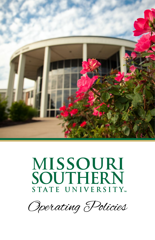

# **MISSOURI** SOUTHERN STATE UNIVERSITY

Operating Policies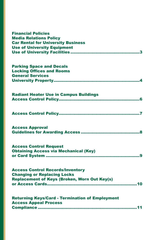| <b>Financial Policies</b><br><b>Media Relations Policy</b><br><b>Car Rental for University Business</b><br><b>Use of University Equipment</b> |
|-----------------------------------------------------------------------------------------------------------------------------------------------|
| <b>Parking Space and Decals</b><br><b>Locking Offices and Rooms</b><br><b>General Services</b>                                                |
| <b>Radiant Heater Use in Campus Buildings</b>                                                                                                 |
|                                                                                                                                               |
| <b>Access Approval</b>                                                                                                                        |
| <b>Access Control Request</b><br><b>Obtaining Access via Mechanical (Key)</b>                                                                 |
| <b>Access Control Records/Inventory</b><br><b>Changing or Replacing Locks</b><br><b>Replacement of Keys (Broken, Worn Out Key(s)</b>          |
| <b>Returning Keys/Card - Termination of Employment</b><br><b>Access Appeal Process</b>                                                        |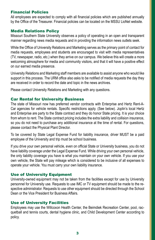#### Financial Policies

All employees are expected to comply with all financial policies which are published annually by the Office of the Treasurer. Financial policies can be located on the MSSU LioNet website.

#### Media Relations Policy

Missouri Southern State University observes a policy of operating in an open and transparent manner regarding news media requests and in providing the information news outlets seek.

While the Office of University Relations and Marketing serves as the primary point of contact for media requests, employees and students are encouraged to visit with media representatives (TV, newspaper, radio, etc.) when they arrive on our campus. We believe this will create a more welcoming atmosphere for media and community visitors, and that it will have a positive effect on our earned media presence.

University Relations and Marketing staff members are available to assist anyone who would like support in this process. The URM office also asks to be notified of media requests the day they are received in order to record the date and topic in the news archives.

Please contact University Relations and Marketing with any questions.

#### Car Rental for University Business

The state of Missouri now has preferred vendor contracts with Enterprise and Hertz Rent-A-Car agencies for vehicle rentals. Specific restrictions apply. (See below). Joplin's local Hertz and Enterprise are party to the State contract and they do honor State pricing. It is your choice from whom to rent. The State contract pricing includes the extra liability and collision insurance, so you do not need to purchase any additional insurance at the time of rental. For questions, please contact the Physical Plant Director.

To be covered by State Legal Expense Fund for liability insurance, driver MUST be a paid employee of the University and trip must be school business.

If you drive your own personal vehicle, even on official State or University business, you do not have liability coverage under the Legal Expense Fund. While driving your own personal vehicle, the only liability coverage you have is what you maintain on your own vehicle. If you use your own vehicle, the State will pay mileage which is considered to be inclusive of all expenses to operate your vehicle. You must carry your own liability insurance.

# Use of University Equipment

University-owned equipment may not be taken from the facilities except for use by University personnel for University use. Requests to use IMC or TV equipment should be made to the respective administrator. Requests to use other equipment should be directed through the School Dean or the Vice President for Business Affairs.

#### Use of University Facilities

Employees may use the Willcoxon Health Center, the Beimdiek Recreation Center, pool, racquetball and tennis courts, dental hygiene clinic, and Child Development Center according to policy.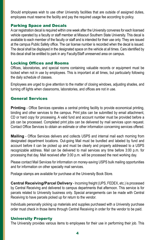Should employees wish to use other University facilities that are outside of assigned duties, employees must reserve the facility and pay the required usage fee according to policy.

#### Parking Space and Decals

A car registration decal is required within one week after the University convenes for each licensed vehicle operated by a faculty or staff member at Missouri Southern State University. This decal is available to each member of the faculty or staff and is intended for their use only. They are issued at the campus Public Safety office. The car license number is recorded when the decal is issued. The decal shall be displayed in the designated space on the vehicle at all times. Cars identified by this decal shall be entitled to park in any Faculty/Staff unreserved area on campus.

#### Locking Offices and Rooms

Offices, laboratories, and special rooms containing valuable records or equipment must be locked when not in use by employees. This is important at all times, but particularly following the daily schedule of classes.

Employees are urged to give attention to the matter of closing windows, adjusting shades, and turning off lights when classrooms, laboratories, and offices are not in use.

# General Services

**Printing** - Office Services operates a central printing facility to provide economical printing, binding and other services to the campus. Print jobs can be submitted by email attachment, CD or hard copy for processing. A valid fund and account number must be provided before a job can be processed. Completed print jobs can be delivered by mail services upon request. Contact Office Services to obtain an estimate or other information concerning services offered.

**Mailing** - Office Services delivers and collects USPS and internal mail each morning from designated department locations. Out-going Mail must be bundled and labeled by fund and account before it can be picked up and must be clearly and properly addressed to a USPS recognizable address. Mail can be delivered to mail services any time before 3:00 p.m. for processing that day. Mail received after 3:00 p.m. will be processed the next working day.

Please contact Mail Services for information on money-saving USPS bulk mailing opportunities and for information on other specialty mail services.

Postage stamps are available for purchase at the University Book Store.

**Central Receiving/Parcel Delivery** - Incoming freight (UPS, FEDEX, etc.) is processed by Central Receiving and delivered to campus departments that afternoon. This service is for parcels related to University business only. Special arrangements can be made with Central Receiving to have parcels picked up for return to the vendor.

Individuals personally picking up materials and supplies purchased with a University purchase order must check in those items through Central Receiving in order for the vendor to be paid.

# University Property

The University provides various items to employees for their use in performing their job. This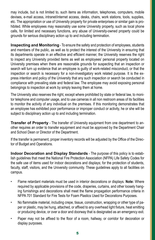may include, but is not limited to, such items as information, telephones, computers, mobile devises, e-mail access, intranet/internet access, desks, chairs, work stations, tools, supplies, etc. The appropriation or use of University property for private enterprises or similar gain is prohibited. While employees may reasonably use some University property, such as local phone calls, for limited and necessary functions, any abuse of University-owned property could be grounds for serious disciplinary action up to and including termination.

**Inspecting and Monitoring** - To ensure the safety and protection of employees, students and members of the public, as well as to protect the interest of the University in ensuring that its departments operate in an effective and efficient manner, the University reserves the right to inspect any University provided items as well as employees' personal property located on University premises when there are reasonable grounds for suspecting that an inspection or search will turn up evidence that an employee is guilty of work-related misconduct, or that the inspection or search is necessary for a non-investigatory work related purpose. It is the express intention and policy of the University that any such inspection or search be conducted in compliance with prevailing state and federal law. The employee may avoid exposing personal belongings to inspection at work by simply leaving them at home.

The University also reserves the right, except where prohibited by state or federal law, to monitor telephone and computer usage, and to use cameras in all non restroom areas of its facilities to monitor the activity of any individual on the premises. If this monitoring demonstrates that an employee has exhibited poor performance or improper conduct or activity, he or she will be subject to disciplinary action up to and including termination.

**Transfer of Property** - The transfer of University equipment from one department to another requires an order to transfer equipment and must be approved by the Department Chair and School Dean or Director of the Department.

If the transfer is permanent, proper inventory records will be adjusted by the Office of the Director of Budget and Operations.

**Indoor Decoration and Display Standards** - The purpose of this policy is to establish guidelines that meet the National Fire Protection Association (NFPA) Life Safety Codes for the safe use of items used for indoor decorations and displays; for the protection of students, faculty, staff, visitors, and the University community. These guidelines apply to all facilities on campus.

- Flame retardant materials must be used in interior decorations or displays. **Note:** Where required by applicable provisions of the code, draperies, curtains, and other loosely hanging furnishings and decorations shall meet the flame propagation performance criteria in NFPA 701 Standard for Fire Tests for Foam Plastics Used for Decorations Purposes.
- No flammable material, including crepe, tissue, construction, wrapping or other type of paper or plastic, may be hung, attached, or affixed to any overhead light fixture, heat emitting or producing device, or over a door and doorway that is designated as an emergency exit.
- Paper may not be affixed to the floor of a room, hallway, or corridor for decoration or display purposes.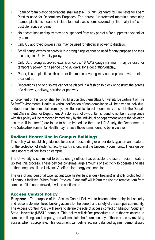- Foam or foam plastic decorations shall meet NFPA 701 Standard for Fire Tests for Foam Plastics used for Decorations Purposes. The phrase "unprotected materials containing foamed plastic" is meant to include foamed plastic items covered by "thermally thin" combustible fabrics or paint.
- No decorations or display may be suspended from any part of a fire suppression/sprinkler system.
- Only UL approved power strips may be used for electrical power to displays.
- Small gauge extension cords with 2 prong plugs cannot be used for any purpose and their use is against University policy.
- Only UL 3 prong approved extension cords, 18 AWG gauge minimum, may be used for temporary power (for a period up to 90 days) for a decoration/display.
- Paper, tissue, plastic, cloth or other flammable covering may not be placed over an electrical outlet.
- Decorations and or displays cannot be placed in a fashion to block or obstruct the egress of a doorway, hallway, corridor, or pathway.

Enforcement of this policy shall be thru Missouri Southern State University Department of Fire Safety/Environmental Health. A verbal notification of non-compliance will be given to individual or department for immediate remedy; a written notification of offense may be sent to the Department Chair or Dean or Department Director as a follow-up. Items found to not be in compliance with this policy will be removed immediately by the individual or department where the violation occurred. If the item(s) are found to be an immediate threat to Life Safety, the Department of Fire Safety/Environmental Health may remove those items found to be in violation.

#### Radiant Heater Use in Campus Buildings

This policy will establish guidelines for use of freestanding or under desk type radiant heaters; for the protection of students, faculty, staff, visitors, and the University community. These guidelines apply to all facilities on campus.

The University is committed to be as energy efficient as possible; the use of radiant heaters violates this process. These devices consume large amounts of electricity to operate and use of them negates all the University's efforts for energy conservation.

The use of any personal type radiant type heater (under desk heaters) is strictly prohibited in all campus facilities. When found, Physical Plant staff will inform the user to remove item from campus. If it is not removed, it will be confiscated.

#### Access Control Policy

**Purpose** - The purpose of the Access Control Policy is to balance strong physical security and reasonable, monitored building access for the benefit and safety of the campus community. The Access Control Policy will serve to define the role of access control on Missouri Southern State University (MSSU) campus. This policy will define procedures to authorize access to campus buildings and property, and will maintain the future security of these areas by revoking access when appropriate. This document will define access balanced against demonstrated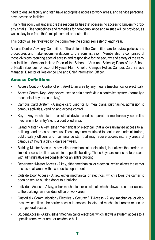need to ensure faculty and staff have appropriate access to work areas, and service personnel have access to facilities.

Finally, this policy will underscore the responsibilities that possessing access to University property entails. Clear guidelines and remedies for non-compliance and misuse will be provided, as well as key loss from theft, misplacement or destruction.

This policy will be reviewed by the committee the spring semester of each year.

Access Control Advisory Committee - The duties of the Committee are to review policies and procedures and make recommendations to the administration. Membership is comprised of those divisions requiring special access and responsible for the security and safety of the campus facilities. Members include Dean of the School of Arts and Science; Dean of the School of Health Sciences; Director of Physical Plant; Chief of Campus Police; Campus Card Service Manager; Director of Residence Life and Chief Information Officer.

# Access Definitions

- Access Control Control of entry/exit to an area by any means (mechanical or electrical).
- Access Control Key Any device used to gain entry/exit to a controlled system (normally a mechanical key or a card key).
- Campus Card System A single card used for ID, meal plans, purchasing, admission to campus activities, vending and access control
- Key Any mechanical or electrical device used to operate a mechanically controlled mechanism for entry/exit to a controlled area.
- Grand Master A key, either mechanical or electrical, that allows unlimited access to all buildings and areas on campus. These keys are restricted to senior level administrators, public safety officers and maintenance staff that may require access into any areas of campus 24 hours a day, 7 days per week.
- Building Master Access A key, either mechanical or electrical, that allows the carrier unlimited access to all areas within a specific building. These keys are restricted to persons with administrative responsibility for an entire building.
- Department Master Access A key, either mechanical or electrical, which allows the carrier access to all areas within a specific department.
- Outside Door Access A key, either mechanical or electrical, which allows the carrier to open or secure outside doors to a building.
- Individual Access A key, either mechanical or electrical, which allows the carrier access to the building, an individual office or work area.
- Custodial / Communication / Electrical / Security / IT Access A key, mechanical or electrical, which allows the carrier access to service closets and mechanical rooms restricted from general access.
- Student Access A key, either mechanical or electrical, which allows a student access to a specific room, work area or residence hall.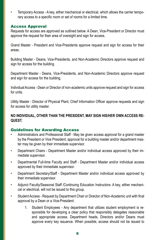• Temporary Access - A key, either mechanical or electrical, which allows the carrier temporary access to a specific room or set of rooms for a limited time.

#### Access Approval

Requests for access are approved as outlined below. A Dean, Vice-President or Director must approve the request for their area of oversight and sign for access.

Grand Master - President and Vice-Presidents approve request and sign for access for their areas.

Building Master - Deans, Vice-Presidents, and Non-Academic Directors approve request and sign for access for the building.

Department Master - Deans, Vice-Presidents, and Non-Academic Directors approve request and sign for access for the building.

Individual Access - Dean or Director of non-academic units approve request and sign for access for units.

Utility Master - Director of Physical Plant, Chief Information Officer approve requests and sign for access for utility master.

**NO INDIVIDUAL, OTHER THAN THE PRESIDENT, MAY SIGN HIS/HER OWN ACCESS RE-QUEST.**

#### Guidelines for Awarding Access

- Administrators and Professional Staff May be given access approval for a grand master by the President or Vice President; approval for a building master and/or department master may be given by their immediate supervisor.
- Department Chairs Department Master and/or individual access approved by their immediate supervisor.
- Departmental Full-time Faculty and Staff Department Master and/or individual access approved by their immediate supervisor.
- Department Secretary/Staff Department Master and/or individual access approved by their immediate supervisor.
- Adjunct Faculty/Seasonal Staff /Continuing Education Instructors- A key, either mechanical or electrical, will not be issued to this group.
- Student Access Request by Department Chair or Director of Non-Academic unit with final approval by a Dean or a Vice-President.
	- 1. Student Employees Any department that utilizes student employment is responsible for developing a clear policy that responsibly delegates reasonable and appropriate access. Department heads, Directors and/or Deans must approve every key issuance. When possible, access should not be issued to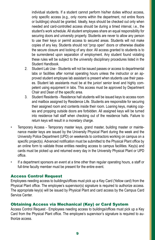individual students. If a student cannot perform his/her duties without access, only specific access (e.g., only rooms within the department, not entire floors or buildings) should be granted. Ideally, keys should be checked out only when needed and card-controlled access should be during a timed interval, i.e., the student's work schedule. All student employees share an equal responsibility for securing doors and university property. Students are never to allow any person to use their keys or permit access to secured areas. Students will not make copies of any key. Students should not "prop open" doors or otherwise disable the secure closure and locking of any door. All access granted to students is to be surrendered upon separation of employment. Any student found violating these rules will be subject to the university disciplinary procedures listed in the Student Handbook.

- 2. Student Lab Use Students will not be issued passes or access to departmental labs or facilities after normal operating hours unless the instructor or an approved student employee lab assistant is present when students use their passes. Student lab assistants must be at the junior/ senior level and highly competent using equipment in labs. This access must be approved by Department Chair and Dean of the specific area.
- 3. Student Residents Residence hall students will be issued keys to access room and mailbox assigned by Residence Life. Students are responsible for securing their assigned room and contents inside their room. Loaning keys, making copies and propping outside doors are forbidden. All assigned keys will be turned into residence hall staff when checking out of the residence halls. Failure to return keys will result in a monetary charge.
- Temporary Access Temporary master keys, grand master, building master or maintenance master keys are issued by the University Physical Plant during the week and the University Police Department (UPD) on weekends to contractors working on campus on a specific project(s). Advanced notification must be submitted to the Physical Plant office by an online form to validate those entities needing access to campus facilities. Key(s) and cards must be picked up and returned every day in the University Physical Plant or UPD office.
- If a department sponsors an event at a time other than regular operating hours, a staff or full-time faculty member must be present for the entire event.

#### Access Control Request

Employees needing access to buildings/offices must pick up a Key Card (Yellow card) from the Physical Plant office. The employee's supervisor(s) signature is required to authorize access. The appropriate key(s) will be issued by Physical Plant and card access by the Campus Card Service Center.

# Obtaining Access via Mechanical (Key) or Card System

Access Control Request - Employees needing access to buildings/offices must pick up a Key Card from the Physical Plant office. The employee's supervisor's signature is required to authorize access.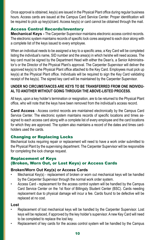Once approval is obtained, key(s) are issued in the Physical Plant office during regular business hours. Access cards are issued at the Campus Card Service Center. Proper identification will be required to pick up key(s)/card. Access key(s) or card cannot be obtained through the mail.

# Access Control Records/Inventory

**Mechanical Keys -** The Carpenter Supervisor maintains electronic access control records. The electronic system maintains records of specific lock cores assigned to each door along with a complete list of the keys issued to every employee.

When an individual needs to be assigned a key to a specific area, a Key Card will be completed listing the individual's name, SID number and the area(s) in which he/she will need access. The key card must be signed by the Department Head with either the Dean's, a Senior Administrator's or the Director of the Physical Plant's approval. The Carpenter Supervisor will deliver the approved key(s) to the Physical Plant office attached to the Key Card. Employees must pick up key(s) at the Physical Plant office. Individuals will be required to sign the Key Card validating receipt of the key(s). The signed key card will be maintained by the Carpenter Supervisor.

#### **UNDER NO CIRCUMSTANCES ARE KEYS TO BE TRANSFERRED FROM ONE INDIVIDU-AL TO ANOTHER WITHOUT GOING THROUGH THE ABOVE-LISTED PROCESS.**

All keys, upon a key holder's termination or resignation, are to be returned to the Physical Plant office, who will note that the keys have been removed from the individual's access record.

**Card Access** - Access control records are maintained electronically by the Campus Card Service Center. The electronic system maintains records of specific locations and times assigned to each access card along with a complete list of every employee and the card locations for which they are approved. The system also maintains a record of the dates and times cardholders used the cards.

# Changing or Replacing Locks

Mechanical locks requiring repair or replacement will need to have a work order submitted to the Physical Plant by the supervising department. The Carpenter Supervisor will be responsible for completing the lock change request.

# Replacement of Keys (Broken, Worn Out, or Lost Keys) or Access Cards

# **Broken/Worn Out Key(s) or Access Cards**

- Mechanical Key(s) replacement of broken or worn out mechanical keys will be handled by the Carpenter Supervisor through the normal work order system.
- Access Card replacement for the access control system will be handled by the Campus Card Service Center on the 1st floor of Billingsly Student Center (BSC). Cards needing replacement due to physical damage will incur a fee. Cards found to be defective will be replaced at no cost.

#### **Lost**

- Replacement of lost mechanical keys will be handled by the Carpenter Supervisor. Lost keys will be replaced, if approved by the key holder's supervisor. A new Key Card will need to be completed to replace the lost key.
- Replacement of key cards for the access control system will be handled by the Campus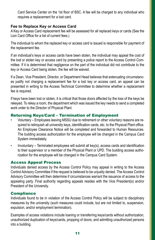Card Service Center on the 1st floor of BSC. A fee will be charged to any individual who requires a replacement for a lost card.

# **Fee to Replace Key or Access Card**

A Key or Access Card replacement fee will be assessed for all replaced keys or cards (See the Lion Card Office for a list of current fees.)

The individual to whom the replaced key or access card is issued is responsible for payment of the replacement fee.

If an individual's keys or access cards have been stolen, the individual may appeal the cost of the lost or stolen key or access card by presenting a police report to the Access Control Committee. If it is determined that negligence on the part of the individual did not contribute to the key or Access Card being stolen, the fee will be waived.

If a Dean, Vice President, Director, or Department Head believes that extenuating circumstances justify not charging a replacement fee for a lost key or access card, an appeal can be presented in writing to the Access Technical Committee to determine whether a replacement fee is required.

If keys have been lost or stolen, it is critical that those doors affected by the loss of the keys be rekeyed. To rekey a room, the department which was issued the key needs to send a completed work order to the Director of Physical Plant.

#### Returning Keys/Card – Termination of Employment

- Voluntary Employees leaving MSSU due to retirement or other voluntary reasons are required to relinquish all university keys, identification cards, etc. to the Physical Plant office. An Employee Clearance Notice will be completed and forwarded to Human Resources. The building access authorization for the employee will be changed in the Campus Card System immediately.
- Involuntary Terminated employees will submit all key(s), access cards and identification to their supervisor or a member of the Physical Plant or UPD. The building access authorization for the employee will be changed in the Campus Card System.

#### Access Appeal Process

Individuals denied access by the Access Control Policy may appeal in writing to the Access Control Advisory Committee if the request is believed to be unjustly denied. The Access Control Advisory Committee will then determine if circumstances warrant the issuance of access to the appealing party. Final authority regarding appeals resides with the Vice President(s) and/or President of the University.

#### **Compliance**

Individuals found to be in violation of the Access Control Policy will be subject to disciplinary measures by the university (such measures could include, but are not limited to, suspension, expulsion, and/or employment termination).

Examples of access violations include loaning or transferring keys/cards without authorization, unauthorized duplication of keys/cards, propping of doors, and admitting unauthorized persons into a building.